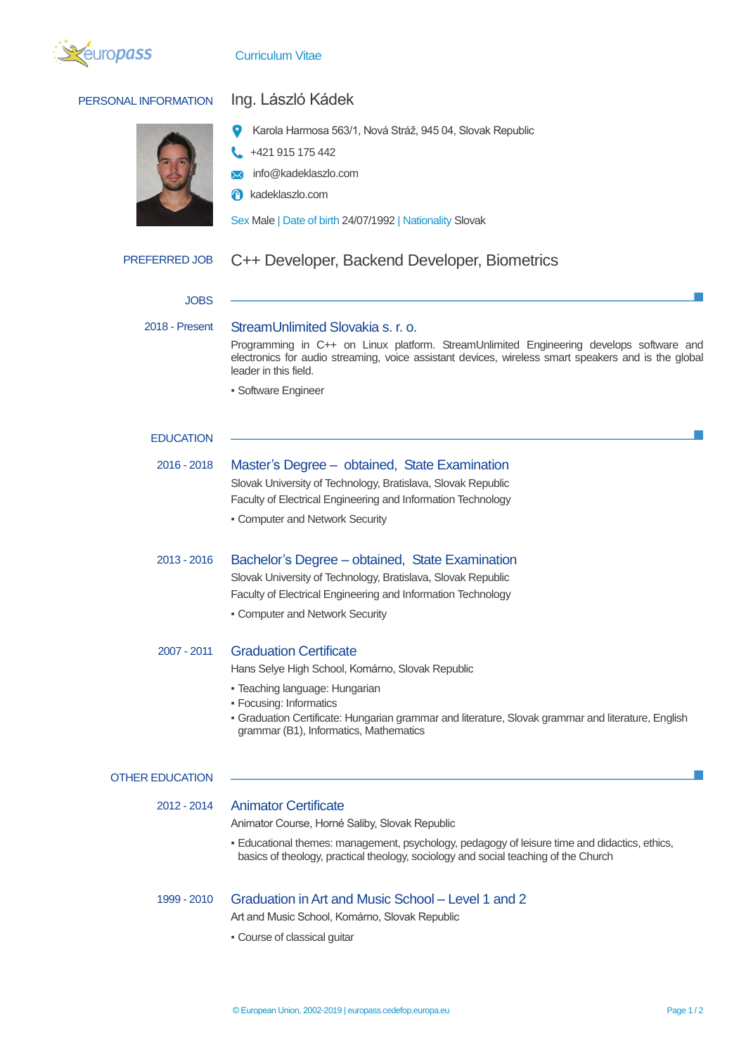

### Curriculum Vitae

### PERSONAL INFORMATION Ing. László Kádek

- 
- Karola Harmosa 563/1, Nová Stráž, 945 04, Slovak Republic
- +421 915 175 442
- $\overline{\mathsf{M}}$ info@kadeklaszlo.com
- **f** kadeklaszlo.com

Sex Male | Date of birth 24/07/1992 | Nationality Slovak

## PREFERRED JOB C++ Developer, Backend Developer, Biometrics

| <b>JOBS</b>       |                                                                                                                                                                                                                                                                                                |  |  |  |  |
|-------------------|------------------------------------------------------------------------------------------------------------------------------------------------------------------------------------------------------------------------------------------------------------------------------------------------|--|--|--|--|
| 2018 - Present    | StreamUnlimited Slovakia s. r. o.<br>Programming in C++ on Linux platform. StreamUnlimited Engineering develops software and<br>electronics for audio streaming, voice assistant devices, wireless smart speakers and is the global<br>leader in this field.<br>· Software Engineer            |  |  |  |  |
| <b>EDUCATION</b>  |                                                                                                                                                                                                                                                                                                |  |  |  |  |
| 2016 - 2018       | Master's Degree - obtained, State Examination<br>Slovak University of Technology, Bratislava, Slovak Republic<br>Faculty of Electrical Engineering and Information Technology<br>• Computer and Network Security                                                                               |  |  |  |  |
| 2013 - 2016       | Bachelor's Degree – obtained, State Examination<br>Slovak University of Technology, Bratislava, Slovak Republic<br>Faculty of Electrical Engineering and Information Technology<br>• Computer and Network Security                                                                             |  |  |  |  |
| 2007 - 2011       | <b>Graduation Certificate</b><br>Hans Selye High School, Komárno, Slovak Republic<br>• Teaching language: Hungarian<br>• Focusing: Informatics<br>- Graduation Certificate: Hungarian grammar and literature, Slovak grammar and literature, English<br>grammar (B1), Informatics, Mathematics |  |  |  |  |
| <b>REDUCATION</b> |                                                                                                                                                                                                                                                                                                |  |  |  |  |
| $2012 - 2014$     | <b>Animator Certificate</b><br>Animator Course, Horné Saliby, Slovak Republic<br>المعالجات والمساري والمسترد والمستحدث والمستحد والمستحدث والمستحدث والمستحدث والمستحدث والمستحدث والمستحدث والمتالي                                                                                           |  |  |  |  |

▪ Educational themes: management, psychology, pedagogy of leisure time and didactics, ethics, basics of theology, practical theology, sociology and social teaching of the Church

**OTHER** 

# 1999 - 2010 Graduation in Art and Music School – Level 1 and 2

Art and Music School, Komárno, Slovak Republic

▪ Course of classical guitar